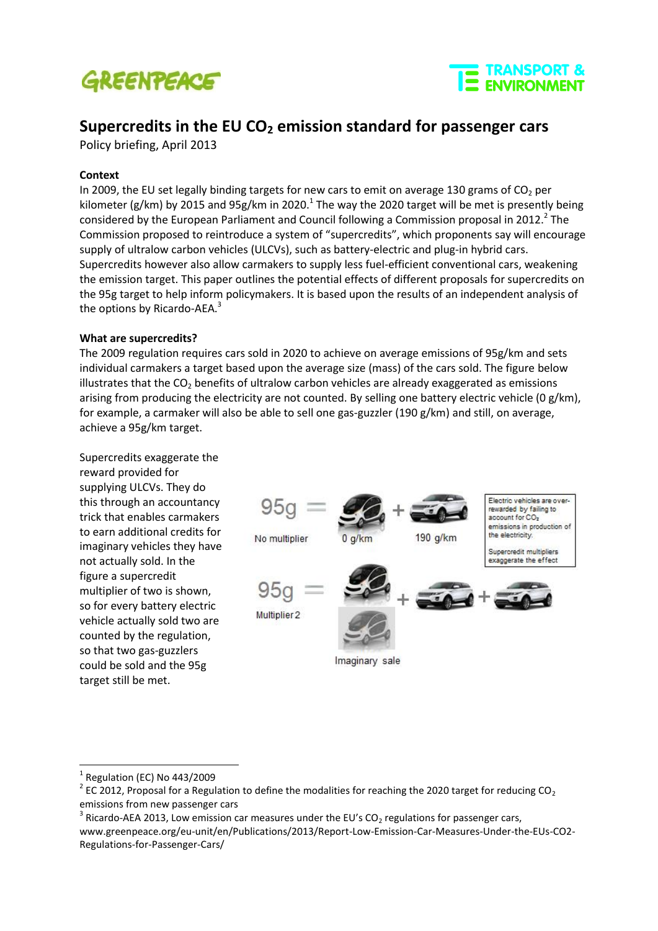



# **Supercredits in the EU CO<sup>2</sup> emission standard for passenger cars**

Policy briefing, April 2013

## **Context**

In 2009, the EU set legally binding targets for new cars to emit on average 130 grams of  $CO<sub>2</sub>$  per kilometer (g/km) by 2015 and 95g/km in 2020.<sup>1</sup> The way the 2020 target will be met is presently being considered by the European Parliament and Council following a Commission proposal in 2012. $^2$  The Commission proposed to reintroduce a system of "supercredits", which proponents say will encourage supply of ultralow carbon vehicles (ULCVs), such as battery-electric and plug-in hybrid cars. Supercredits however also allow carmakers to supply less fuel-efficient conventional cars, weakening the emission target. This paper outlines the potential effects of different proposals for supercredits on the 95g target to help inform policymakers. It is based upon the results of an independent analysis of the options by Ricardo-AEA.<sup>3</sup>

#### **What are supercredits?**

The 2009 regulation requires cars sold in 2020 to achieve on average emissions of 95g/km and sets individual carmakers a target based upon the average size (mass) of the cars sold. The figure below illustrates that the  $CO<sub>2</sub>$  benefits of ultralow carbon vehicles are already exaggerated as emissions arising from producing the electricity are not counted. By selling one battery electric vehicle (0 g/km), for example, a carmaker will also be able to sell one gas-guzzler (190 g/km) and still, on average, achieve a 95g/km target.

Supercredits exaggerate the reward provided for supplying ULCVs. They do this through an accountancy trick that enables carmakers to earn additional credits for imaginary vehicles they have not actually sold. In the figure a supercredit multiplier of two is shown, so for every battery electric vehicle actually sold two are counted by the regulation, so that two gas-guzzlers could be sold and the 95g target still be met.



-

<sup>1</sup> Regulation (EC) No 443/2009

 $2$  EC 2012, Proposal for a Regulation to define the modalities for reaching the 2020 target for reducing CO<sub>2</sub> emissions from new passenger cars

<sup>&</sup>lt;sup>3</sup> Ricardo-AEA 2013, Low emission car measures under the EU's CO<sub>2</sub> regulations for passenger cars, www.greenpeace.org/eu-unit/en/Publications/2013/Report-Low-Emission-Car-Measures-Under-the-EUs-CO2- Regulations-for-Passenger-Cars/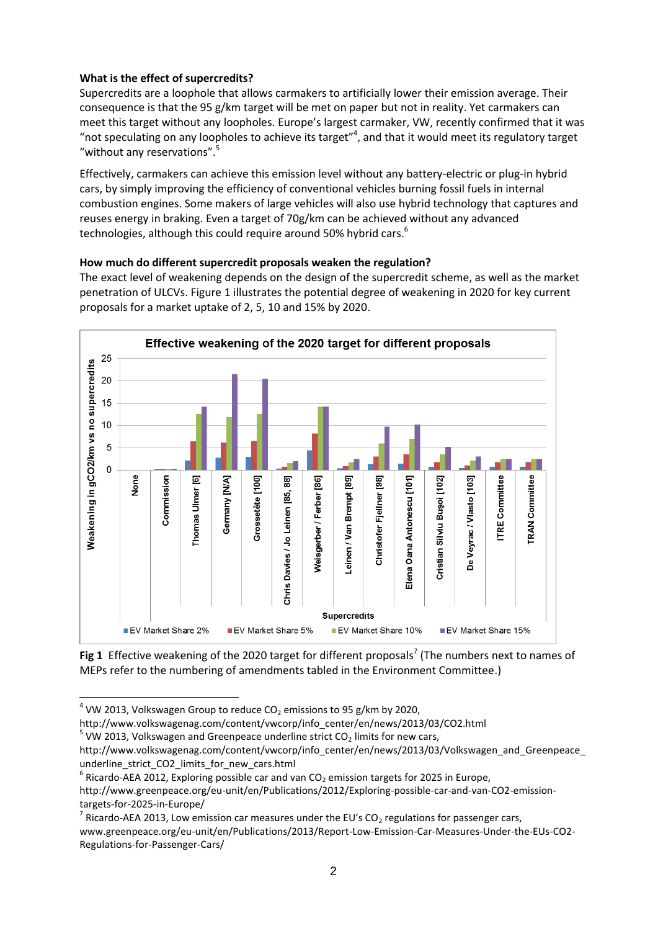# **What is the effect of supercredits?**

Supercredits are a loophole that allows carmakers to artificially lower their emission average. Their consequence is that the 95 g/km target will be met on paper but not in reality. Yet carmakers can meet this target without any loopholes. Europe's largest carmaker, VW, recently confirmed that it was "not speculating on any loopholes to achieve its target" $4$ , and that it would meet its regulatory target "without any reservations".<sup>5</sup>

Effectively, carmakers can achieve this emission level without any battery-electric or plug-in hybrid cars, by simply improving the efficiency of conventional vehicles burning fossil fuels in internal combustion engines. Some makers of large vehicles will also use hybrid technology that captures and reuses energy in braking. Even a target of 70g/km can be achieved without any advanced technologies, although this could require around 50% hybrid cars.<sup>6</sup>

# **How much do different supercredit proposals weaken the regulation?**

The exact level of weakening depends on the design of the supercredit scheme, as well as the market penetration of ULCVs. Figure 1 illustrates the potential degree of weakening in 2020 for key current proposals for a market uptake of 2, 5, 10 and 15% by 2020.



Fig 1 Effective weakening of the 2020 target for different proposals<sup>7</sup> (The numbers next to names of MEPs refer to the numbering of amendments tabled in the Environment Committee.)

-

 $<sup>4</sup>$  VW 2013, Volkswagen Group to reduce CO<sub>2</sub> emissions to 95 g/km by 2020,</sup>

http://www.volkswagenag.com/content/vwcorp/info\_center/en/news/2013/03/CO2.html

 $5$  VW 2013, Volkswagen and Greenpeace underline strict CO<sub>2</sub> limits for new cars,

http://www.volkswagenag.com/content/vwcorp/info\_center/en/news/2013/03/Volkswagen\_and\_Greenpeace\_ underline\_strict\_CO2\_limits\_for\_new\_cars.html

 $^6$  Ricardo-AEA 2012, Exploring possible car and van CO<sub>2</sub> emission targets for 2025 in Europe,

http://www.greenpeace.org/eu-unit/en/Publications/2012/Exploring-possible-car-and-van-CO2-emissiontargets-for-2025-in-Europe/

<sup>7</sup> Ricardo-AEA 2013, Low emission car measures under the EU's  $CO<sub>2</sub>$  regulations for passenger cars, www.greenpeace.org/eu-unit/en/Publications/2013/Report-Low-Emission-Car-Measures-Under-the-EUs-CO2- Regulations-for-Passenger-Cars/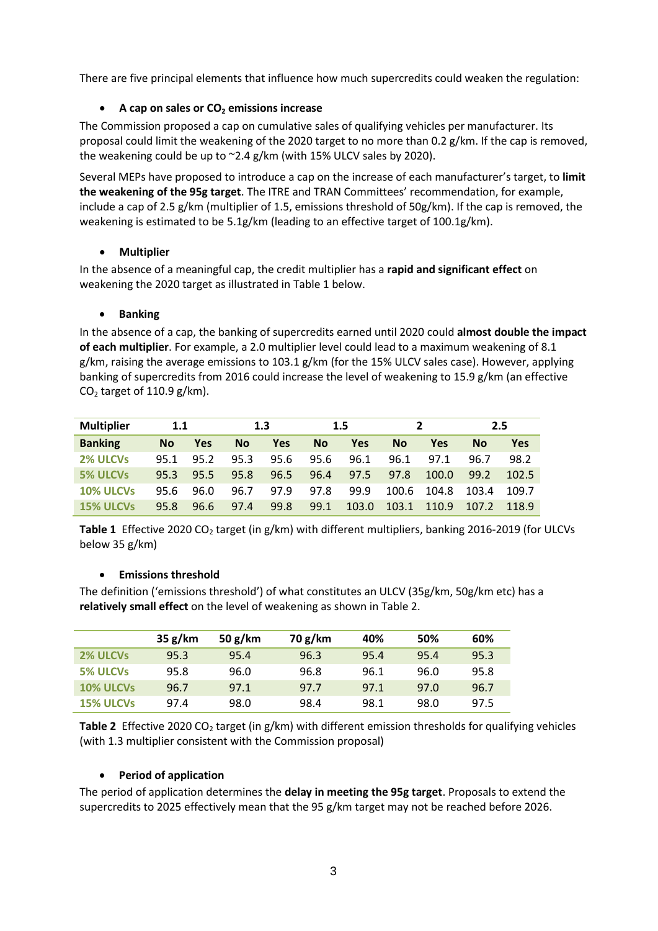There are five principal elements that influence how much supercredits could weaken the regulation:

# **A cap on sales or CO<sup>2</sup> emissions increase**

The Commission proposed a cap on cumulative sales of qualifying vehicles per manufacturer. Its proposal could limit the weakening of the 2020 target to no more than 0.2 g/km. If the cap is removed, the weakening could be up to ~2.4 g/km (with 15% ULCV sales by 2020).

Several MEPs have proposed to introduce a cap on the increase of each manufacturer's target, to **limit the weakening of the 95g target**. The ITRE and TRAN Committees' recommendation, for example, include a cap of 2.5 g/km (multiplier of 1.5, emissions threshold of 50g/km). If the cap is removed, the weakening is estimated to be 5.1g/km (leading to an effective target of 100.1g/km).

# **Multiplier**

In the absence of a meaningful cap, the credit multiplier has a **rapid and significant effect** on weakening the 2020 target as illustrated in Table 1 below.

## **Banking**

In the absence of a cap, the banking of supercredits earned until 2020 could **almost double the impact of each multiplier**. For example, a 2.0 multiplier level could lead to a maximum weakening of 8.1 g/km, raising the average emissions to 103.1 g/km (for the 15% ULCV sales case). However, applying banking of supercredits from 2016 could increase the level of weakening to 15.9 g/km (an effective  $CO<sub>2</sub>$  target of 110.9 g/km).

| <b>Multiplier</b> | 1.1       |      | 1.3  |      | $1.5\,$   |       |           |       | 2.5       |       |
|-------------------|-----------|------|------|------|-----------|-------|-----------|-------|-----------|-------|
| <b>Banking</b>    | <b>No</b> | Yes  | Nο   | Yes  | <b>No</b> | Yes   | <b>No</b> | Yes   | <b>No</b> | Yes   |
| 2% ULCVs          | 95.1      | 95.2 | 95.3 | 95.6 | 95.6      | 96.1  | 96.1      | 97.1  | 96.7      | 98.2  |
| <b>5% ULCVs</b>   | 95.3      | 95.5 | 95.8 | 96.5 | 96.4      | 97.5  | 97.8      | 100.0 | 99.2      | 102.5 |
| 10% ULCVs         | 95.6      | 96.0 | 96.7 | 97.9 | 97.8      | 99.9  | 100.6     | 104.8 | 103.4     | 109.7 |
| <b>15% ULCVs</b>  | 95.8      | 96.6 | 97.4 | 99.8 | 99.1      | 103.0 | 103.1     | 110.9 | 107.2     | 118.9 |

Table 1 Effective 2020 CO<sub>2</sub> target (in g/km) with different multipliers, banking 2016-2019 (for ULCVs below 35 g/km)

#### **Emissions threshold**

The definition ('emissions threshold') of what constitutes an ULCV (35g/km, 50g/km etc) has a **relatively small effect** on the level of weakening as shown in Table 2.

|                  | 35 g/km | 50 $g$ /km | 70 g/km | 40%  | 50%  | 60%  |
|------------------|---------|------------|---------|------|------|------|
| 2% ULCVs         | 95.3    | 95.4       | 96.3    | 95.4 | 95.4 | 95.3 |
| <b>5% ULCVs</b>  | 95.8    | 96.0       | 96.8    | 96.1 | 96.0 | 95.8 |
| 10% ULCVs        | 96.7    | 97.1       | 97.7    | 97.1 | 97.0 | 96.7 |
| <b>15% ULCVs</b> | 97.4    | 98.0       | 98.4    | 98.1 | 98.0 | 97.5 |

**Table 2** Effective 2020 CO<sub>2</sub> target (in g/km) with different emission thresholds for qualifying vehicles (with 1.3 multiplier consistent with the Commission proposal)

# **Period of application**

The period of application determines the **delay in meeting the 95g target**. Proposals to extend the supercredits to 2025 effectively mean that the 95 g/km target may not be reached before 2026.